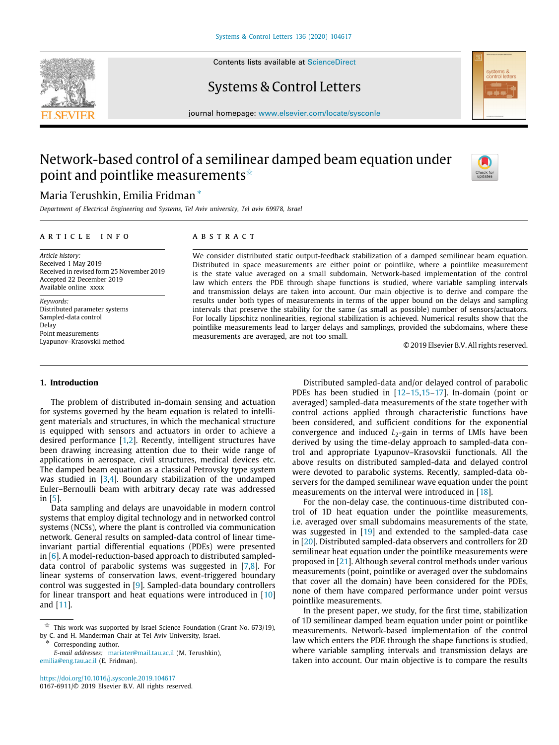

Contents lists available at [ScienceDirect](http://www.elsevier.com/locate/sysconle)

## Systems & Control Letters



journal homepage: [www.elsevier.com/locate/sysconle](http://www.elsevier.com/locate/sysconle)

# Network-based control of a semilinear damped beam equation under point and pointlike measurements  $\hat{z}$



## Maria Terushkin, Emilia Fridman [∗](#page-0-1)

*Department of Electrical Engineering and Systems, Tel Aviv university, Tel aviv 69978, Israel*

#### ARTICLE INFO

*Article history:* Received 1 May 2019 Received in revised form 25 November 2019 Accepted 22 December 2019 Available online xxxx

*Keywords:* Distributed parameter systems Sampled-data control Delay Point measurements Lyapunov–Krasovskii method

### a b s t r a c t

We consider distributed static output-feedback stabilization of a damped semilinear beam equation. Distributed in space measurements are either point or pointlike, where a pointlike measurement is the state value averaged on a small subdomain. Network-based implementation of the control law which enters the PDE through shape functions is studied, where variable sampling intervals and transmission delays are taken into account. Our main objective is to derive and compare the results under both types of measurements in terms of the upper bound on the delays and sampling intervals that preserve the stability for the same (as small as possible) number of sensors/actuators. For locally Lipschitz nonlinearities, regional stabilization is achieved. Numerical results show that the pointlike measurements lead to larger delays and samplings, provided the subdomains, where these measurements are averaged, are not too small.

© 2019 Elsevier B.V. All rights reserved.

#### **1. Introduction**

The problem of distributed in-domain sensing and actuation for systems governed by the beam equation is related to intelligent materials and structures, in which the mechanical structure is equipped with sensors and actuators in order to achieve a desired performance [\[1](#page-8-0)[,2\]](#page-8-1). Recently, intelligent structures have been drawing increasing attention due to their wide range of applications in aerospace, civil structures, medical devices etc. The damped beam equation as a classical Petrovsky type system was studied in [[3,](#page-8-2)[4](#page-8-3)]. Boundary stabilization of the undamped Euler–Bernoulli beam with arbitrary decay rate was addressed in [[5\]](#page-8-4).

Data sampling and delays are unavoidable in modern control systems that employ digital technology and in networked control systems (NCSs), where the plant is controlled via communication network. General results on sampled-data control of linear timeinvariant partial differential equations (PDEs) were presented in [\[6\]](#page-8-5). A model-reduction-based approach to distributed sampleddata control of parabolic systems was suggested in  $[7,8]$  $[7,8]$  $[7,8]$ . For linear systems of conservation laws, event-triggered boundary control was suggested in [[9](#page-8-8)]. Sampled-data boundary controllers for linear transport and heat equations were introduced in [[10\]](#page-8-9) and [[11](#page-8-10)].

<span id="page-0-1"></span>Corresponding author.

*E-mail addresses:* [mariater@mail.tau.ac.il](mailto:mariater@mail.tau.ac.il) (M. Terushkin), [emilia@eng.tau.ac.il](mailto:emilia@eng.tau.ac.il) (E. Fridman).

<https://doi.org/10.1016/j.sysconle.2019.104617> 0167-6911/© 2019 Elsevier B.V. All rights reserved.

Distributed sampled-data and/or delayed control of parabolic PDEs has been studied in [[12–](#page-8-11)[15,15–](#page-8-12)[17\]](#page-8-13). In-domain (point or averaged) sampled-data measurements of the state together with control actions applied through characteristic functions have been considered, and sufficient conditions for the exponential convergence and induced *L*<sub>2</sub>-gain in terms of LMIs have been derived by using the time-delay approach to sampled-data control and appropriate Lyapunov–Krasovskii functionals. All the above results on distributed sampled-data and delayed control were devoted to parabolic systems. Recently, sampled-data observers for the damped semilinear wave equation under the point measurements on the interval were introduced in [[18\]](#page-8-14).

For the non-delay case, the continuous-time distributed control of 1D heat equation under the pointlike measurements, i.e. averaged over small subdomains measurements of the state, was suggested in [\[19\]](#page-8-15) and extended to the sampled-data case in [\[20\]](#page-8-16). Distributed sampled-data observers and controllers for 2D semilinear heat equation under the pointlike measurements were proposed in [[21](#page-8-17)]. Although several control methods under various measurements (point, pointlike or averaged over the subdomains that cover all the domain) have been considered for the PDEs, none of them have compared performance under point versus pointlike measurements.

In the present paper, we study, for the first time, stabilization of 1D semilinear damped beam equation under point or pointlike measurements. Network-based implementation of the control law which enters the PDE through the shape functions is studied, where variable sampling intervals and transmission delays are taken into account. Our main objective is to compare the results

<span id="page-0-0"></span> $\overrightarrow{x}$  This work was supported by Israel Science Foundation (Grant No. 673/19), by C. and H. Manderman Chair at Tel Aviv University, Israel.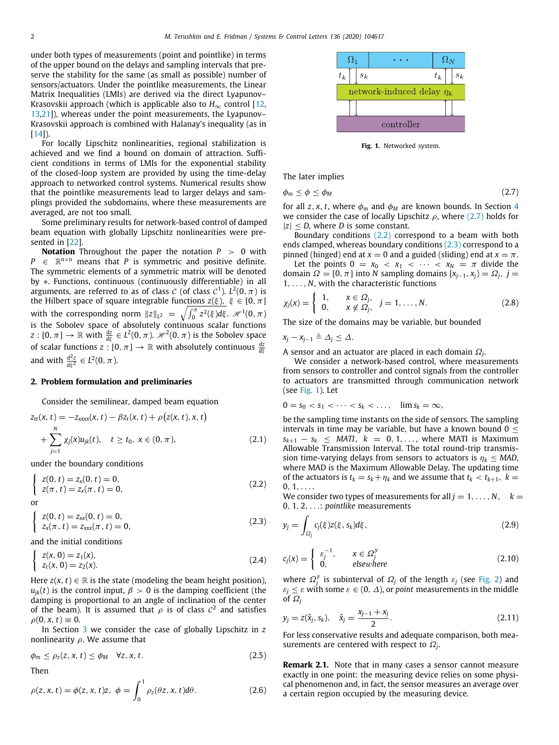under both types of measurements (point and pointlike) in terms of the upper bound on the delays and sampling intervals that preserve the stability for the same (as small as possible) number of sensors/actuators. Under the pointlike measurements, the Linear Matrix Inequalities (LMIs) are derived via the direct Lyapunov– Krasovskii approach (which is applicable also to  $H_{\infty}$  control [\[12,](#page-8-11) [13](#page-8-18)[,21\]](#page-8-17)), whereas under the point measurements, the Lyapunov– Krasovskii approach is combined with Halanay's inequality (as in  $[14]$  $[14]$  $[14]$ ).

For locally Lipschitz nonlinearities, regional stabilization is achieved and we find a bound on domain of attraction. Sufficient conditions in terms of LMIs for the exponential stability of the closed-loop system are provided by using the time-delay approach to networked control systems. Numerical results show that the pointlike measurements lead to larger delays and samplings provided the subdomains, where these measurements are averaged, are not too small.

Some preliminary results for network-based control of damped beam equation with globally Lipschitz nonlinearities were presented in [\[22\]](#page-8-20).

**Notation** Throughout the paper the notation *P* > 0 with  $P \in \mathbb{R}^{n \times n}$  means that *P* is symmetric and positive definite. The symmetric elements of a symmetric matrix will be denoted by ∗. Functions, continuous (continuously differentiable) in all arguments, are referred to as of class  $\mathcal C$  (of class  $\mathcal C^1$ ).  $L^2(0,\pi)$  is the Hilbert space of square integrable functions  $z(\xi)$ ,  $\xi \in [0, \pi]$ with the corresponding norm  $||z||_{L^2} = \sqrt{\int_0^{\pi} z^2(\xi) d\xi}$ .  $\mathcal{H}^1(0, \pi)$ is the Sobolev space of absolutely continuous scalar functions  $z:[0,\pi]\rightarrow \mathbb{R}$  with  $\frac{dz}{d\xi}\in L^2(0,\pi)$ .  $\mathscr{H}^2(0,\pi)$  is the Sobolev space of scalar functions  $z : [0, \pi] \to \mathbb{R}$  with absolutely continuous  $\frac{dz}{d\xi}$ and with  $\frac{d^2z}{d\xi^2}\in L^2(0,\pi)$ .

#### **2. Problem formulation and preliminaries**

Consider the semilinear, damped beam equation

$$
z_{tt}(x, t) = -z_{xxxx}(x, t) - \beta z_t(x, t) + \rho(z(x, t), x, t)
$$
  
+ 
$$
\sum_{j=1}^{N} \chi_j(x)u_{jk}(t), \quad t \ge t_0, \ x \in (0, \pi),
$$
 (2.1)

under the boundary conditions

$$
\begin{cases}\n z(0, t) = z_x(0, t) = 0, \\
 z(\pi, t) = z_x(\pi, t) = 0,\n\end{cases}
$$
\n(2.2)

or

 $\sqrt{2}$  $z(0, t) = z_{xx}(0, t) = 0,$  $z_x(\pi, t) = z_{xxx}(\pi, t) = 0,$ (2.3)

and the initial conditions

$$
\begin{cases}\n z(x, 0) = z_1(x), \\
 z_t(x, 0) = z_2(x).\n\end{cases}
$$
\n(2.4)

Here  $z(x, t) \in \mathbb{R}$  is the state (modeling the beam height position),  $u_{ik}(t)$  is the control input,  $\beta > 0$  is the damping coefficient (the damping is proportional to an angle of inclination of the center of the beam). It is assumed that  $\rho$  is of class  $\mathcal{C}^2$  and satisfies  $\rho(0, x, t) \equiv 0.$ 

In Section [3](#page-2-0) we consider the case of globally Lipschitz in *z* nonlinearity  $\rho$ . We assume that

$$
\phi_m \le \rho_z(z, x, t) \le \phi_M \quad \forall z, x, t. \tag{2.5}
$$

Then

$$
\rho(z, x, t) = \phi(z, x, t)z, \quad \phi = \int_0^1 \rho_z(\theta z, x, t) d\theta. \tag{2.6}
$$



<span id="page-1-0"></span>**Fig. 1.** Networked system.

<span id="page-1-3"></span>The later implies

$$
\phi_m \le \phi \le \phi_M \tag{2.7}
$$

for all *z*, *x*, *t*, where  $\phi_m$  and  $\phi_M$  are known bounds. In Section [4](#page-6-0) we consider the case of locally Lipschitz  $\rho$ , where ([2.7](#page-1-0)) holds for  $|z|$  < *D*, where *D* is some constant.

Boundary conditions ([2.2](#page-1-1)) correspond to a beam with both ends clamped, whereas boundary conditions ([2.3](#page-1-2)) correspond to a pinned (hinged) end at  $x = 0$  and a guided (sliding) end at  $x = \pi$ .

Let the points  $0 = x_0 < x_1 < \cdots < x_N = \pi$  divide the domain  $\Omega = [0, \pi]$  into *N* sampling domains  $[x_{i-1}, x_i] = \Omega_i$ ,  $j =$ 1, . . . , *N*, with the characteristic functions

$$
\chi_j(x) = \left\{ \begin{array}{ll} 1, & x \in \Omega_j, \\ 0, & x \notin \Omega_j, \end{array} \right. \quad j = 1, \dots, N. \tag{2.8}
$$

The size of the domains may be variable, but bounded

$$
x_j - x_{j-1} \triangleq \Delta_j \leq \Delta.
$$

A sensor and an actuator are placed in each domain  $\varOmega_{j}.$ 

We consider a network-based control, where measurements from sensors to controller and control signals from the controller to actuators are transmitted through communication network (see [Fig.](#page-1-3) [1\)](#page-1-3). Let

$$
0=s_0
$$

<span id="page-1-4"></span>be the sampling time instants on the side of sensors. The sampling intervals in time may be variable, but have a known bound  $0 <$  $s_{k+1} - s_k \leq MATI$ ,  $k = 0, 1, \ldots$ , where MATI is Maximum Allowable Transmission Interval. The total round-trip transmission time-varying delays from sensors to actuators is  $\eta_k \leq MAD$ , where MAD is the Maximum Allowable Delay. The updating time of the actuators is  $t_k = s_k + \eta_k$  and we assume that  $t_k < t_{k+1}$ ,  $k =$  $0, 1, \ldots$ 

<span id="page-1-1"></span>We consider two types of measurements for all  $j = 1, ..., N$ ,  $k =$ 0, 1, 2, . . .: *pointlike* measurements

<span id="page-1-5"></span><span id="page-1-2"></span>
$$
y_j = \int_{\Omega_j} c_j(\xi) z(\xi, s_k) d\xi, \qquad (2.9)
$$

<span id="page-1-7"></span>
$$
c_j(x) = \begin{cases} \varepsilon_j^{-1}, & x \in \Omega_j^y \\ 0, & \text{elsewhere} \end{cases} \tag{2.10}
$$

where  $\Omega_j^y$  is subinterval of  $\Omega_j$  of the length  $\varepsilon_j$  (see [Fig.](#page-2-1) [2\)](#page-2-1) and  $\varepsilon_j \leq \varepsilon$  with some  $\varepsilon \in (0, \Delta)$ , or *point* measurements in the middle of Ω*<sup>j</sup>*

<span id="page-1-6"></span>
$$
y_j = z(\hat{x}_j, s_k), \quad \hat{x}_j = \frac{x_{j-1} + x_j}{2}.
$$
 (2.11)

For less conservative results and adequate comparison, both measurements are centered with respect to  $\Omega_j$ .

**Remark 2.1.** Note that in many cases a sensor cannot measure exactly in one point: the measuring device relies on some physical phenomenon and, in fact, the sensor measures an average over a certain region occupied by the measuring device.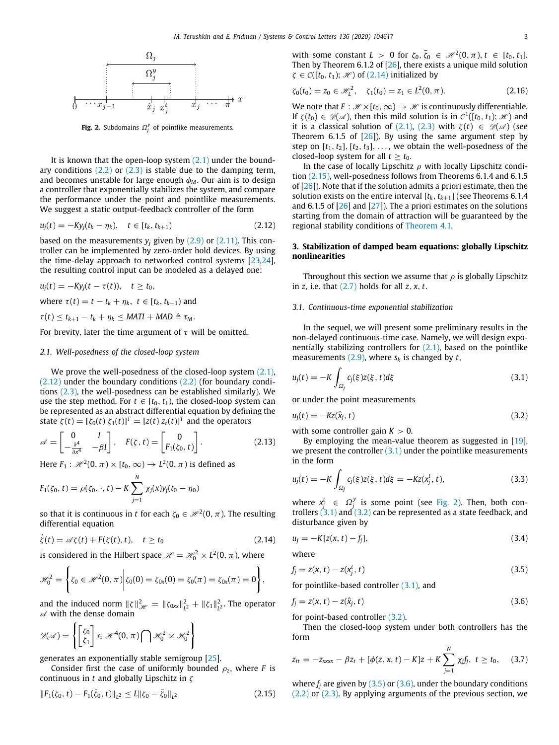

**Fig. 2.** Subdomains  $\Omega_j^y$  of pointlike measurements.

<span id="page-2-1"></span>It is known that the open-loop system  $(2,1)$  under the boundary conditions  $(2.2)$  $(2.2)$  $(2.2)$  or  $(2.3)$  is stable due to the damping term, and becomes unstable for large enough  $\phi_M$ . Our aim is to design a controller that exponentially stabilizes the system, and compare the performance under the point and pointlike measurements. We suggest a static output-feedback controller of the form

$$
u_j(t) = -Ky_j(t_k - \eta_k), \quad t \in [t_k, t_{k+1})
$$
\n(2.12)

based on the measurements  $y_i$  given by  $(2.9)$  $(2.9)$  or  $(2.11)$  $(2.11)$  $(2.11)$ . This controller can be implemented by zero-order hold devices. By using the time-delay approach to networked control systems [[23](#page-8-21)[,24\]](#page-8-22), the resulting control input can be modeled as a delayed one:

$$
u_j(t) = -Ky_j(t - \tau(t)), \quad t \ge t_0,
$$
  
where  $\tau(t) = t - t_k + \eta_k, \quad t \in [t_k, t_{k+1})$  and  
 $\tau(t) \le t_{k+1} - t_k + \eta_k \le \text{MATI} + \text{MAD} \triangleq \tau_M.$ 

For brevity, later the time argument of  $\tau$  will be omitted.

#### *2.1. Well-posedness of the closed-loop system*

We prove the well-posedness of the closed-loop system  $(2.1)$ , ([2.12\)](#page-2-2) under the boundary conditions ([2.2](#page-1-1)) (for boundary conditions ([2.3](#page-1-2)), the well-posedness can be established similarly). We use the step method. For  $t \in [t_0, t_1)$ , the closed-loop system can be represented as an abstract differential equation by defining the state  $\zeta(t) = [\zeta_0(t) \; \zeta_1(t)]^T = [z(t) \, z_t(t)]^T$  and the operators

$$
\mathscr{A} = \begin{bmatrix} 0 & I \\ -\frac{\partial^4}{\partial x^4} & -\beta I \end{bmatrix}, \quad F(\zeta, t) = \begin{bmatrix} 0 \\ F_1(\zeta_0, t) \end{bmatrix}.
$$
 (2.13)

Here  $F_1: \mathcal{H}^2(0, \pi) \times [t_0, \infty) \to L^2(0, \pi)$  is defined as

$$
F_1(\zeta_0, t) = \rho(\zeta_0, \cdot, t) - K \sum_{j=1}^N \chi_j(x) y_j(t_0 - \eta_0)
$$

so that it is continuous in *t* for each  $\zeta_0 \in \mathcal{H}^2(0,\pi)$ . The resulting differential equation

$$
\dot{\zeta}(t) = \mathscr{A}\zeta(t) + F(\zeta(t), t), \quad t \ge t_0 \tag{2.14}
$$

is considered in the Hilbert space  $\mathscr{H} = \mathscr{H}^2_0 \times L^2(0,\pi)$ , where

$$
\mathscr{H}_0^2 = \left\{ \zeta_0 \in \mathscr{H}^2(0, \pi) \middle| \zeta_0(0) = \zeta_{0x}(0) = \zeta_0(\pi) = \zeta_{0x}(\pi) = 0 \right\},\
$$

and the induced norm  $||\zeta||_{\mathcal{H}}^2 = ||\zeta_{0xx}||_{L^2}^2 + ||\zeta_1||_{L^2}^2$ . The operator  $\mathscr A$  with the dense domain

$$
\mathscr{D}(\mathscr{A}) = \left\{ \begin{bmatrix} \zeta_0 \\ \zeta_1 \end{bmatrix} \in \mathscr{H}^4(0, \pi) \bigcap \mathscr{H}_0^2 \times \mathscr{H}_0^2 \right\}
$$

generates an exponentially stable semigroup [[25](#page-8-23)].

Consider first the case of uniformly bounded ρ*<sup>z</sup>* , where *F* is continuous in *t* and globally Lipschitz in ζ

$$
||F_1(\zeta_0, t) - F_1(\bar{\zeta}_0, t)||_{L^2} \le L ||\zeta_0 - \bar{\zeta}_0||_{L^2}
$$
\n(2.15)

with some constant  $L > 0$  for  $\zeta_0, \overline{\zeta_0} \in \mathcal{H}^2(0, \pi), t \in [t_0, t_1]$ . Then by Theorem 6.1.2 of [\[26\]](#page-8-24), there exists a unique mild solution  $\zeta \in \mathcal{C}([t_0, t_1); \mathcal{H})$  of [\(2.14\)](#page-2-3) initialized by

$$
\zeta_0(t_0) = z_0 \in \mathcal{H}_L^2, \quad \zeta_1(t_0) = z_1 \in L^2(0, \pi). \tag{2.16}
$$

We note that  $F : \mathcal{H} \times [t_0, \infty) \to \mathcal{H}$  is continuously differentiable. If  $\zeta(t_0) \in \mathcal{D}(\mathcal{A})$ , then this mild solution is in  $\mathcal{C}^1([t_0, t_1); \mathcal{H})$  and it is a classical solution of ([2.1](#page-1-4)), ([2.3](#page-1-2)) with  $\zeta(t) \in \mathcal{D}(\mathcal{A})$  (see Theorem 6.1.5 of  $[26]$  $[26]$ ). By using the same argument step by step on  $[t_1, t_2]$ ,  $[t_2, t_3]$ , ..., we obtain the well-posedness of the closed-loop system for all  $t > t_0$ .

In the case of locally Lipschitz  $\rho$  with locally Lipschitz condition ([2.15](#page-2-4)), well-posedness follows from Theorems 6.1.4 and 6.1.5 of  $[26]$  $[26]$ ). Note that if the solution admits a priori estimate, then the solution exists on the entire interval  $[t_k, t_{k+1}]$  (see Theorems 6.1.4) and 6.1.5 of  $[26]$  and  $[27]$  $[27]$  $[27]$ ). The a priori estimates on the solutions starting from the domain of attraction will be guaranteed by the regional stability conditions of [Theorem](#page-6-1) [4.1.](#page-6-1)

#### <span id="page-2-2"></span>**3. Stabilization of damped beam equations: globally Lipschitz nonlinearities**

<span id="page-2-0"></span>Throughout this section we assume that  $\rho$  is globally Lipschitz in *z*, i.e. that ([2.7](#page-1-0)) holds for all *z*, *x*, *t*.

#### *3.1. Continuous-time exponential stabilization*

In the sequel, we will present some preliminary results in the non-delayed continuous-time case. Namely, we will design exponentially stabilizing controllers for  $(2,1)$ , based on the pointlike measurements  $(2.9)$  $(2.9)$ , where  $s_k$  is changed by *t*,

<span id="page-2-5"></span>
$$
u_j(t) = -K \int_{\Omega_j} c_j(\xi) z(\xi, t) d\xi
$$
\n(3.1)

or under the point measurements

<span id="page-2-6"></span>
$$
u_j(t) = -Kz(\hat{x}_j, t) \tag{3.2}
$$

with some controller gain  $K > 0$ .

By employing the mean-value theorem as suggested in [\[19\]](#page-8-15), we present the controller  $(3.1)$  $(3.1)$  under the pointlike measurements in the form

$$
u_j(t) = -K \int_{\Omega_j} c_j(\xi) z(\xi, t) d\xi = -Kz(x_j^t, t), \qquad (3.3)
$$

where  $x_j^t \in \Omega_j^y$  is some point (see [Fig.](#page-2-1) [2](#page-2-1)). Then, both controllers  $(3.1)$  and  $(3.2)$  $(3.2)$  $(3.2)$  can be represented as a state feedback, and disturbance given by

<span id="page-2-3"></span>
$$
u_j = -K[z(x, t) - f_j],
$$
\n(3.4)

<span id="page-2-10"></span>where

<span id="page-2-7"></span>
$$
f_j = z(x, t) - z(x_j^t, t) \tag{3.5}
$$

<span id="page-2-8"></span>for pointlike-based controller [\(3.1\)](#page-2-5), and

$$
f_j = z(x, t) - z(\hat{x}_j, t) \tag{3.6}
$$

for point-based controller [\(3.2\)](#page-2-6).

Then the closed-loop system under both controllers has the form

<span id="page-2-9"></span>
$$
z_{tt} = -z_{xxxx} - \beta z_t + [\phi(z, x, t) - K]z + K \sum_{j=1}^{N} \chi_j f_j, \ t \geq t_0, \quad (3.7)
$$

<span id="page-2-4"></span>where  $f_i$  are given by  $(3.5)$  $(3.5)$  or  $(3.6)$  $(3.6)$  $(3.6)$ , under the boundary conditions ([2.2](#page-1-1)) or ([2.3\)](#page-1-2). By applying arguments of the previous section, we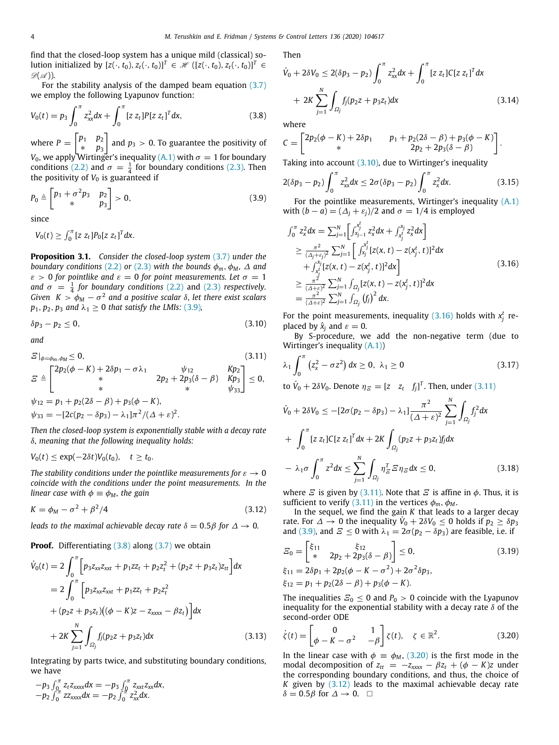find that the closed-loop system has a unique mild (classical) solution initialized by  $[z(\cdot, t_0), z_t(\cdot, t_0)]^T \in \mathcal{H}([z(\cdot, t_0), z_t(\cdot, t_0)]^T \in$  $\mathscr{D}(\mathscr{A})$ ).

For the stability analysis of the damped beam equation [\(3.7\)](#page-2-9) we employ the following Lyapunov function:

$$
V_0(t) = p_3 \int_0^{\pi} z_{xx}^2 dx + \int_0^{\pi} [z \, z_t] P [z \, z_t]^T dx, \tag{3.8}
$$

where  $P = \begin{bmatrix} p_1 & p_2 \\ p_1 & p_2 \end{bmatrix}$ ∗ *p*<sup>3</sup> and  $p_3 > 0$ . To guarantee the positivity of *V*<sub>0</sub>, we apply Wirtinger's inequality [\(A.1\)](#page-7-0) with  $\sigma=1$  for boundary conditions [\(2.2\)](#page-1-1) and  $\sigma = \frac{1}{4}$  for boundary conditions ([2.3](#page-1-2)). Then the positivity of  $V_0$  is guaranteed if

$$
P_0 \triangleq \begin{bmatrix} p_1 + \sigma^2 p_3 & p_2 \\ * & p_3 \end{bmatrix} > 0,\tag{3.9}
$$

since

 $V_0(t) \ge \int_0^{\pi} [z \ z_t] P_0[z \ z_t]^T dx.$ 

<span id="page-3-10"></span>**Proposition 3.1.** *Consider the closed-loop system* [\(3.7\)](#page-2-9) *under the boundary conditions* ([2.2](#page-1-1)) *or* [\(2.3\)](#page-1-2) *with the bounds*  $\phi_m$ ,  $\phi_M$ ,  $\Delta$  *and*  $\varepsilon > 0$  for pointlike and  $\varepsilon = 0$  for point measurements. Let  $\sigma = 1$ and  $\sigma = \frac{1}{4}$  for boundary conditions ([2.2\)](#page-1-1) and [\(2.3\)](#page-1-2) respectively. *Given K* >  $\phi_M - \sigma^2$  and a positive scalar  $\delta$ , let there exist scalars  $p_1, p_2, p_3$  *and*  $\lambda_1 \geq 0$  *that satisfy the LMIs:* [\(3.9\)](#page-3-0)*,* 

$$
\delta p_3 - p_2 \le 0,\tag{3.10}
$$

*and*

$$
E|_{\phi=\phi_m,\phi_M} \leq 0,
$$
\n
$$
E \triangleq \begin{bmatrix}\n2p_2(\phi - K) + 2\delta p_1 - \sigma \lambda_1 & \psi_{12} & Kp_2 \\
\ast & 2p_2 + 2p_3(\delta - \beta) & Kp_3 \\
\ast & \psi_{12} = p_1 + p_2(2\delta - \beta) + p_3(\phi - K), & \psi_{33} = -[2c(p_2 - \delta p_3) - \lambda_1]\pi^2/(\Delta + \varepsilon)^2.\n\end{bmatrix} \leq 0,
$$
\n(3.11)

*Then the closed-loop system is exponentially stable with a decay rate* δ*, meaning that the following inequality holds:*

$$
V_0(t) \le \exp(-2\delta t)V_0(t_0), \quad t \ge t_0.
$$

*The stability conditions under the pointlike measurements for*  $\varepsilon \to 0$ *coincide with the conditions under the point measurements. In the linear case with*  $\phi \equiv \phi_M$ , the gain

$$
K = \phi_M - \sigma^2 + \beta^2/4 \tag{3.12}
$$

*leads to the maximal achievable decay rate*  $\delta = 0.5\beta$  for  $\Delta \rightarrow 0$ *.* 

**Proof.** Differentiating [\(3.8\)](#page-3-1) along ([3.7](#page-2-9)) we obtain

$$
\dot{V}_0(t) = 2 \int_0^{\pi} \left[ p_3 z_{xx} z_{xxt} + p_1 z z_t + p_2 z_t^2 + (p_2 z + p_3 z_t) z_{tt} \right] dx
$$
  
\n
$$
= 2 \int_0^{\pi} \left[ p_3 z_{xx} z_{xxt} + p_1 z z_t + p_2 z_t^2 + (p_2 z + p_3 z_t) ((\phi - K) z - z_{xxx} - \beta z_t) \right] dx
$$
  
\n
$$
+ 2K \sum_{j=1}^N \int_{\Omega_j} f_j(p_2 z + p_3 z_t) dx
$$
(3.13)

Integrating by parts twice, and substituting boundary conditions, we have

$$
-p_3 \int_0^{\pi} z_t z_{xxxx} dx = -p_3 \int_0^{\pi} z_{xxt} z_{xx} dx,
$$
  

$$
-p_2 \int_0^{\pi} z z_{xxxx} dx = -p_2 \int_0^{\pi} z_{xx}^2 dx.
$$

Then

$$
\dot{V}_0 + 2\delta V_0 \le 2(\delta p_3 - p_2) \int_0^{\pi} z_{xx}^2 dx + \int_0^{\pi} [z z_t] C [z z_t]^T dx
$$
  
+ 2K  $\sum_{j=1}^N \int_{\Omega_j} f_j (p_2 z + p_3 z_t) dx$  (3.14)

<span id="page-3-7"></span><span id="page-3-1"></span>where

$$
C = \begin{bmatrix} 2p_2(\phi - K) + 2\delta p_1 & p_1 + p_2(2\delta - \beta) + p_3(\phi - K) \\ * & 2p_2 + 2p_3(\delta - \beta) \end{bmatrix}.
$$

Taking into account  $(3.10)$  $(3.10)$  $(3.10)$ , due to Wirtinger's inequality

<span id="page-3-8"></span>
$$
2(\delta p_3 - p_2) \int_0^{\pi} z_{xx}^2 dx \le 2\sigma (\delta p_3 - p_2) \int_0^{\pi} z_x^2 dx.
$$
 (3.15)

<span id="page-3-0"></span>For the pointlike measurements, Wirtinger's inequality  $(A,1)$ with  $(b - a) = (\Delta_i + \varepsilon_i)/2$  and  $\sigma = 1/4$  is employed

<span id="page-3-3"></span>
$$
\int_{0}^{\pi} z_{x}^{2} dx = \sum_{j=1}^{N} \left[ \int_{x_{j-1}}^{x_{j}^{f}} z_{x}^{2} dx + \int_{x_{j}^{t}}^{x_{j}} z_{x}^{2} dx \right]
$$
\n
$$
\geq \frac{\pi^{2}}{(A_{j} + \varepsilon_{j})^{2}} \sum_{j=1}^{N} \left[ \int_{x_{j}}^{x_{j}^{f}} [z(x, t) - z(x_{j}^{t}, t)]^{2} dx + \int_{x_{j}^{t}}^{x_{j}} [z(x, t) - z(x_{j}^{t}, t)]^{2} dx \right]
$$
\n
$$
\geq \frac{\pi^{2}}{(A + \varepsilon)^{2}} \sum_{j=1}^{N} \int_{\Omega_{j}} [z(x, t) - z(x_{j}^{t}, t)]^{2} dx
$$
\n
$$
= \frac{\pi^{2}}{(A + \varepsilon)^{2}} \sum_{j=1}^{N} \int_{\Omega_{j}} (f_{j})^{2} dx.
$$
\n(3.16)

<span id="page-3-2"></span>For the point measurements, inequality  $(3.16)$  holds with  $x_j^t$  replaced by  $\hat{x}_i$  and  $\varepsilon = 0$ .

By S-procedure, we add the non-negative term (due to Wirtinger's inequality ([A.1](#page-7-0)))

<span id="page-3-4"></span>
$$
\lambda_1 \int_0^{\pi} \left( z_x^2 - \sigma z^2 \right) dx \ge 0, \ \lambda_1 \ge 0 \tag{3.17}
$$

to  $\dot{V}_0 + 2\delta V_0$ . Denote  $\eta_{\mathcal{Z}} = \begin{bmatrix} z & z_t & f_j \end{bmatrix}^T$ . Then, under ([3.11](#page-3-4))

$$
\dot{V}_0 + 2\delta V_0 \le -[2\sigma(p_2 - \delta p_3) - \lambda_1] \frac{\pi^2}{(\Delta + \varepsilon)^2} \sum_{j=1}^N \int_{\Omega_j} f_j^2 dx \n+ \int_0^{\pi} [z z_t] C [z z_t]^T dx + 2K \int_{\Omega_j} (p_2 z + p_3 z_t) f_j dx \n- \lambda_1 \sigma \int_0^{\pi} z^2 dx \le \sum_{j=1}^N \int_{\Omega_j} \eta_{\varepsilon}^T \varepsilon \eta_{\varepsilon} dx \le 0,
$$
\n(3.18)

<span id="page-3-9"></span>where  $\overline{E}$  is given by [\(3.11](#page-3-4)). Note that  $\overline{E}$  is affine in  $\phi$ . Thus, it is sufficient to verify ([3.11\)](#page-3-4) in the vertices  $\phi_m$ ,  $\phi_M$ .

<span id="page-3-6"></span>In the sequel, we find the gain *K* that leads to a larger decay rate. For  $\triangle \rightarrow 0$  the inequality  $\dot{V}_0 + 2\delta V_0 \leq 0$  holds if  $p_2 \geq \delta p_3$ and ([3.9](#page-3-0)), and  $E \le 0$  with  $\lambda_1 = 2\sigma(p_2 - \delta p_3)$  are feasible, i.e. if

$$
E_0 = \begin{bmatrix} \xi_{11} & \xi_{12} \\ * & 2p_2 + 2p_3(\delta - \beta) \end{bmatrix} \le 0,
$$
  
\n
$$
\xi_{11} = 2\delta p_1 + 2p_2(\phi - K - \sigma^2) + 2\sigma^2 \delta p_3,
$$
  
\n
$$
\xi_{12} = p_1 + p_2(2\delta - \beta) + p_3(\phi - K).
$$
\n(3.19)

The inequalities  $\mathcal{Z}_0 \leq 0$  and  $P_0 > 0$  coincide with the Lyapunov inequality for the exponential stability with a decay rate  $\delta$  of the second-order ODE

<span id="page-3-5"></span>
$$
\dot{\zeta}(t) = \begin{bmatrix} 0 & 1 \\ \phi - K - \sigma^2 & -\beta \end{bmatrix} \zeta(t), \quad \zeta \in \mathbb{R}^2.
$$
 (3.20)

In the linear case with  $\phi = \phi_M$ , ([3.20](#page-3-5)) is the first mode in the modal decomposition of  $z_{tt} = -z_{xxxx} - \beta z_t + (\phi - K)z$  under the corresponding boundary conditions, and thus, the choice of *K* given by [\(3.12\)](#page-3-6) leads to the maximal achievable decay rate  $\delta = 0.5\beta$  for  $\Delta \rightarrow 0$ . □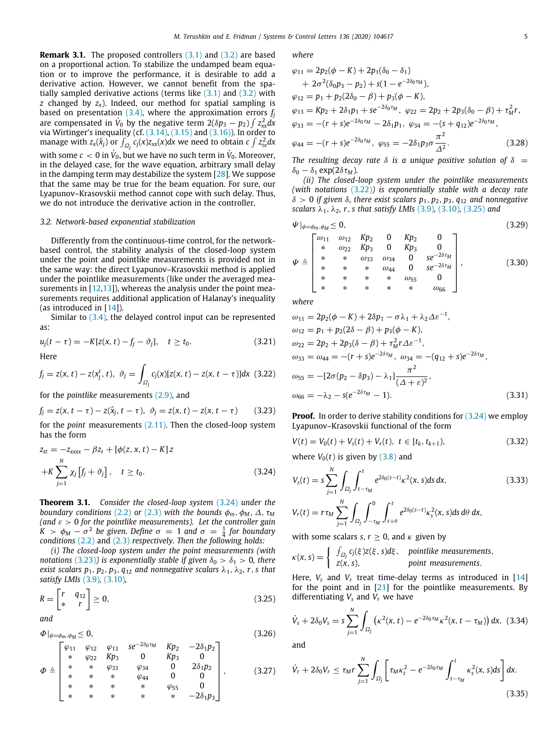**Remark [3.1](#page-2-5).** The proposed controllers (3.1) and ([3.2](#page-2-6)) are based on a proportional action. To stabilize the undamped beam equation or to improve the performance, it is desirable to add a derivative action. However, we cannot benefit from the spatially sampled derivative actions (terms like  $(3.1)$  and  $(3.2)$  with *z* changed by *zx*). Indeed, our method for spatial sampling is based on presentation  $(3.4)$ , where the approximation errors  $f_i$ are compensated in  $\dot{V}_0$  by the negative term  $2(\delta p_3 - p_2) \int z_{xx}^2 dx$ via Wirtinger's inequality (cf. ([3.14](#page-3-7)), [\(3.15\)](#page-3-8) and [\(3.16\)](#page-3-3)). In order to manage with  $z_x(\hat{x}_j)$  or  $\int_{\Omega_j} c_j(x) z_{xx}(x) dx$  we need to obtain  $c \int z_{tx}^2 dx$ with some  $c < 0$  in  $\dot{V}_0$ , but we have no such term in  $\dot{V}_0$ . Moreover, in the delayed case, for the wave equation, arbitrary small delay in the damping term may destabilize the system [[28](#page-8-26)]. We suppose that the same may be true for the beam equation. For sure, our Lyapunov–Krasovskii method cannot cope with such delay. Thus, we do not introduce the derivative action in the controller.

#### *3.2. Network-based exponential stabilization*

Differently from the continuous-time control, for the networkbased control, the stability analysis of the closed-loop system under the point and pointlike measurements is provided not in the same way: the direct Lyapunov–Krasovskii method is applied under the pointlike measurements (like under the averaged measurements in  $[12,13]$  $[12,13]$  $[12,13]$  $[12,13]$ , whereas the analysis under the point measurements requires additional application of Halanay's inequality (as introduced in [\[14\]](#page-8-19)).

Similar to [\(3.4\)](#page-2-10), the delayed control input can be represented as:

$$
u_j(t - \tau) = -K[z(x, t) - f_j - \vartheta_j], \quad t \ge t_0.
$$
 (3.21)

Here

$$
f_j = z(x, t) - z(x_j^t, t), \ \vartheta_j = \int_{\Omega_j} c_j(x) [z(x, t) - z(x, t - \tau)] dx \ (3.22)
$$

for the *pointlike* measurements ([2.9](#page-1-5)), and

$$
f_j = z(x, t - \tau) - z(\hat{x}_j, t - \tau), \ \vartheta_j = z(x, t) - z(x, t - \tau)
$$
 (3.23)  
for the *point* measurements (2.11). Then the closed-loop system  
has the form

$$
z_{tt} = -z_{xxxx} - \beta z_t + [\phi(z, x, t) - K]z
$$
  
+
$$
K \sum_{j=1}^{N} \chi_j [f_j + \vartheta_j], \quad t \ge t_0.
$$
 (3.24)

<span id="page-4-8"></span>**Theorem 3.1.** *Consider the closed-loop system* ([3.24](#page-4-0)) *under the boundary conditions* [\(2.2\)](#page-1-1) *or* [\(2.3\)](#page-1-2) *with the bounds*  $\phi_m$ ,  $\phi_M$ ,  $\Delta$ ,  $\tau_M$ *(and* ε > 0 *for the pointlike measurements). Let the controller gain K* >  $\phi_M - \sigma^2$  be given. Define  $\sigma = 1$  and  $\sigma = \frac{1}{4}$  for boundary *conditions* [\(2.2\)](#page-1-1) and ([2.3](#page-1-2)) *respectively. Then the following holds:*

*(i) The closed-loop system under the point measurements (with notations* ([3.23](#page-4-1))*)* is exponentially stable if given  $\delta_0 > \delta_1 > 0$ , there *exist scalars*  $p_1$ ,  $p_2$ ,  $p_3$ ,  $q_{12}$  *and nonnegative scalars*  $\lambda_1$ ,  $\lambda_2$ , *r*, *s that satisfy LMIs* ([3.9](#page-3-0))*,* ([3.10](#page-3-2))*,*

$$
R = \begin{bmatrix} r & q_{12} \\ * & r \end{bmatrix} \ge 0,
$$
\n(3.25)

*and*

$$
\Phi|_{\phi=\phi_m,\phi_M}\leq 0,\tag{3.26}
$$

$$
\Phi \triangleq \begin{bmatrix}\n\varphi_{11} & \varphi_{12} & \varphi_{13} & \varepsilon e^{-2\delta_0 \tau_M} & Kp_2 & -2\delta_1 p_2 \\
\ast & \varphi_{22} & Kp_3 & 0 & Kp_3 & 0 \\
\ast & \ast & \varphi_{33} & \varphi_{34} & 0 & 2\delta_1 p_2 \\
\ast & \ast & \ast & \varphi_{44} & 0 & 0 \\
\ast & \ast & \ast & \ast & \varphi_{55} & 0 \\
\ast & \ast & \ast & \ast & \ast & -2\delta_1 p_3\n\end{bmatrix},
$$
\n(3.27)

*where*

$$
\varphi_{11} = 2p_2(\phi - K) + 2p_1(\delta_0 - \delta_1) \n+ 2\sigma^2(\delta_0 p_3 - p_2) + s(1 - e^{-2\delta_0 \tau_M}), \n\varphi_{12} = p_1 + p_2(2\delta_0 - \beta) + p_3(\phi - K), \n\varphi_{13} = Kp_2 + 2\delta_1 p_1 + s e^{-2\delta_0 \tau_M}, \quad \varphi_{22} = 2p_2 + 2p_3(\delta_0 - \beta) + \tau_M^2 r, \n\varphi_{33} = -(r + s)e^{-2\delta_0 \tau_M} - 2\delta_1 p_1, \quad \varphi_{34} = -(s + q_{12})e^{-2\delta_0 \tau_M}, \n\varphi_{44} = -(r + s)e^{-2\delta_0 \tau_M}, \quad \varphi_{55} = -2\delta_1 p_3 \sigma \frac{\pi^2}{\Delta^2}.
$$
\n(3.28)

*The resulting decay rate*  $\delta$  *is a unique positive solution of*  $\delta$  =  $\delta_0 - \delta_1 \exp(2\delta \tau_M)$ .

*(ii) The closed-loop system under the pointlike measurements (with notations* [\(3.22\)](#page-4-2)*) is exponentially stable with a decay rate* δ > 0 *if given* δ*, there exist scalars p*1, *p*2, *p*3, *q*<sup>12</sup> *and nonnegative scalars*  $λ_1$ ,  $λ_2$ ,  $r$ , *s that satisfy LMIs* [\(3.9\)](#page-3-0), [\(3.10\)](#page-3-2), ([3.25\)](#page-4-3) *and* 

<span id="page-4-7"></span>
$$
\Psi|_{\phi=\phi_m,\phi_M}\leq 0,\tag{3.29}
$$

$$
\Psi \triangleq \begin{bmatrix}\n\omega_{11} & \omega_{12} & Kp_2 & 0 & Kp_2 & 0 \\
* & \omega_{22} & Kp_3 & 0 & Kp_3 & 0 \\
* & * & \omega_{33} & \omega_{34} & 0 & s e^{-2\delta \tau_M} \\
* & * & * & \omega_{44} & 0 & s e^{-2\delta \tau_M} \\
* & * & * & * & \omega_{55} & 0 \\
* & * & * & * & * & \omega_{66}\n\end{bmatrix},
$$
\n(3.30)

*where*

$$
\omega_{11} = 2p_2(\phi - K) + 2\delta p_1 - \sigma \lambda_1 + \lambda_2 \Delta \varepsilon^{-1},
$$
  
\n
$$
\omega_{12} = p_1 + p_2(2\delta - \beta) + p_3(\phi - K),
$$
  
\n
$$
\omega_{22} = 2p_2 + 2p_3(\delta - \beta) + \tau_M^2 r \Delta \varepsilon^{-1},
$$
  
\n
$$
\omega_{33} = \omega_{44} = -(r + s)e^{-2\delta \tau_M}, \quad \omega_{34} = -(q_{12} + s)e^{-2\delta \tau_M},
$$
  
\n
$$
\omega_{55} = -[2\sigma(p_2 - \delta p_3) - \lambda_1] \frac{\pi^2}{(\Delta + \varepsilon)^2},
$$
  
\n
$$
\omega_{66} = -\lambda_2 - s(e^{-2\delta \tau_M} - 1).
$$
\n(3.31)

<span id="page-4-2"></span><span id="page-4-1"></span>**Proof.** In order to derive stability conditions for ([3.24](#page-4-0)) we employ Lyapunov–Krasovskii functional of the form

<span id="page-4-5"></span>
$$
V(t) = V_0(t) + V_s(t) + V_r(t), \ t \in [t_k, t_{k+1}), \tag{3.32}
$$

where  $V_0(t)$  is given by  $(3.8)$  $(3.8)$  $(3.8)$  and

<span id="page-4-9"></span><span id="page-4-0"></span>
$$
V_{s}(t) = s \sum_{j=1}^{N} \int_{\Omega_{j}} \int_{t-\tau_{M}}^{t} e^{2\delta_{0}(s-t)} \kappa^{2}(x, s) ds dx,
$$
\n(3.33)  
\n
$$
V_{r}(t) = r \tau_{M} \sum_{j=1}^{N} \int_{\Omega_{j}} \int_{-\tau_{M}}^{0} \int_{t+\theta}^{t} e^{2\delta_{0}(s-t)} \kappa_{s}^{2}(x, s) ds d\theta dx,
$$

with some scalars *s*,  $r > 0$ , and  $\kappa$  given by

$$
\kappa(x, s) = \begin{cases} \int_{\Omega_j} c_j(\xi) z(\xi, s) d\xi, & \text{pointlike measurements,} \\ z(x, s), & \text{point measurements.} \end{cases}
$$

Here,  $V_s$  and  $V_r$  treat time-delay terms as introduced in [[14\]](#page-8-19) for the point and in [\[21\]](#page-8-17) for the pointlike measurements. By differentiating  $V_s$  and  $V_r$  we have

<span id="page-4-4"></span><span id="page-4-3"></span>
$$
\dot{V}_s + 2\delta_0 V_s = s \sum_{j=1}^N \int_{\Omega_j} \left( \kappa^2(x,t) - e^{-2\delta_0 \tau_M} \kappa^2(x,t-\tau_M) \right) dx, \tag{3.34}
$$

<span id="page-4-6"></span>and

$$
\dot{V}_r + 2\delta_0 V_r \le \tau_M r \sum_{j=1}^N \int_{\Omega_j} \left[ \tau_M \kappa_t^2 - e^{-2\delta_0 \tau_M} \int_{t-\tau_M}^t \kappa_s^2(x,s) ds \right] dx.
$$
\n(3.35)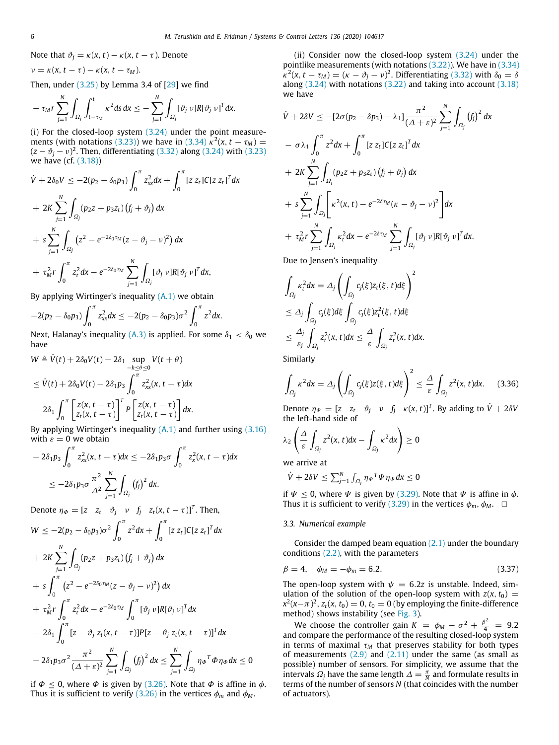Note that  $\vartheta_i = \kappa(x, t) - \kappa(x, t - \tau)$ . Denote

$$
v = \kappa(x, t - \tau) - \kappa(x, t - \tau_M).
$$

Then, under  $(3.25)$  $(3.25)$  $(3.25)$  by Lemma 3.4 of  $[29]$  $[29]$  $[29]$  we find

$$
-\tau_M r \sum_{j=1}^N \int_{\Omega_j} \int_{t-\tau_M}^t \kappa^2 ds \, dx \leq -\sum_{j=1}^N \int_{\Omega_j} [\vartheta_j \nu] R [\vartheta_j \nu]^T dx.
$$

(i) For the closed-loop system  $(3.24)$  under the point measure-ments (with notations ([3.23](#page-4-1))) we have in ([3.34\)](#page-4-4)  $\kappa^2(x, t - \tau_M) =$  $(z - \vartheta_j - \nu)^2$ . Then, differentiating [\(3.32\)](#page-4-5) along ([3.24](#page-4-0)) with [\(3.23\)](#page-4-1) we have (cf. [\(3.18\)](#page-3-9))

$$
\dot{V} + 2\delta_0 V \le -2(p_2 - \delta_0 p_3) \int_0^{\pi} z_{xx}^2 dx + \int_0^{\pi} [z z_t] C [z z_t]^T dx \n+ 2K \sum_{j=1}^N \int_{\Omega_j} (p_2 z + p_3 z_t) (f_j + \vartheta_j) dx \n+ s \sum_{j=1}^N \int_{\Omega_j} (z^2 - e^{-2\delta_0 \tau_M} (z - \vartheta_j - \nu)^2) dx \n+ \tau_M^2 r \int_0^{\pi} z_t^2 dx - e^{-2\delta_0 \tau_M} \sum_{j=1}^N \int_{\Omega_j} [\vartheta_j \nu] R [\vartheta_j \nu]^T dx,
$$

By applying Wirtinger's inequality  $(A,1)$  we obtain

$$
-2(p_2-\delta_0p_3)\int_0^{\pi} z_{xx}^2 dx \le -2(p_2-\delta_0p_3)\sigma^2\int_0^{\pi} z^2 dx.
$$

Next, Halanay's inequality [\(A.3](#page-8-28)) is applied. For some  $\delta_1 < \delta_0$  we have

$$
W \triangleq \dot{V}(t) + 2\delta_0 V(t) - 2\delta_1 \sup_{-h \leq \theta \leq 0} V(t + \theta)
$$
  
\n
$$
\leq \dot{V}(t) + 2\delta_0 V(t) - 2\delta_1 p_3 \int_0^{\pi} z_{xx}^2(x, t - \tau) dx
$$
  
\n
$$
- 2\delta_1 \int_0^{\pi} \left[ z(x, t - \tau) \right]^T P \left[ z(x, t - \tau) \right] dx.
$$

By applying Wirtinger's inequality  $(A,1)$  and further using  $(3.16)$ with  $\varepsilon = 0$  we obtain

$$
-2\delta_1 p_3 \int_0^{\pi} z_{xx}^2(x, t-\tau) dx \le -2\delta_1 p_3 \sigma \int_0^{\pi} z_x^2(x, t-\tau) dx
$$
  

$$
\le -2\delta_1 p_3 \sigma \frac{\pi^2}{\Delta^2} \sum_{j=1}^N \int_{\Omega_j} (f_j)^2 dx.
$$

Denote  $\eta_{\Phi} = \begin{bmatrix} z & z_t & \vartheta_j & \nu & f_j & z_t(x, t - \tau) \end{bmatrix}^T$ . Then,

$$
W \le -2(p_2 - \delta_0 p_3)\sigma^2 \int_0^{\pi} z^2 dx + \int_0^{\pi} [z z_t] C [z z_t]^T dx
$$
  
+ 2K  $\sum_{j=1}^N \int_{\Omega_j} (p_2 z + p_3 z_t) (f_j + \vartheta_j) dx$   
+  $s \int_0^{\pi} (z^2 - e^{-2\delta_0 \tau_M} (z - \vartheta_j - \nu)^2) dx$   
+  $\tau_M^2 r \int_0^{\pi} z_t^2 dx - e^{-2\delta_0 \tau_M} \int_0^{\pi} [\vartheta_j \nu] R [\vartheta_j \nu]^T dx$   
-  $2\delta_1 \int_0^{\pi} [z - \vartheta_j z_t(x, t - \tau)] P [z - \vartheta_j z_t(x, t - \tau)]^T dx$   
-  $2\delta_1 p_3 \sigma^2 \frac{\pi^2}{(\Delta + \varepsilon)^2} \sum_{j=1}^N \int_{\Omega_j} (f_j)^2 dx \le \sum_{j=1}^N \int_{\Omega_j} \eta_\phi T \varphi \eta_\phi dx \le 0$ 

if  $\Phi \leq 0$ , where  $\Phi$  is given by [\(3.26\)](#page-4-6). Note that  $\Phi$  is affine in  $\phi$ . Thus it is sufficient to verify ([3.26](#page-4-6)) in the vertices  $\phi_m$  and  $\phi_M$ .

(ii) Consider now the closed-loop system [\(3.24\)](#page-4-0) under the pointlike measurements (with notations [\(3.22\)](#page-4-2)). We have in [\(3.34](#page-4-4))  $\kappa^2(x, t - \tau_M) = (\kappa - \vartheta_j - \nu)^2$ . Differentiating ([3.32](#page-4-5)) with  $\delta_0 = \delta$ along  $(3.24)$  $(3.24)$  with notations  $(3.22)$  and taking into account  $(3.18)$ we have

$$
\dot{V} + 2\delta V \le -[2\sigma(p_2 - \delta p_3) - \lambda_1] \frac{\pi^2}{(\Delta + \varepsilon)^2} \sum_{j=1}^N \int_{\Omega_j} (f_j)^2 dx
$$
  
\n
$$
- \sigma \lambda_1 \int_0^{\pi} z^2 dx + \int_0^{\pi} [z z_t] C [z z_t]^T dx
$$
  
\n
$$
+ 2K \sum_{j=1}^N \int_{\Omega_j} (p_2 z + p_3 z_t) (f_j + \vartheta_j) dx
$$
  
\n
$$
+ s \sum_{j=1}^N \int_{\Omega_j} \left[ \kappa^2(x, t) - e^{-2\delta \tau_M} (\kappa - \vartheta_j - \nu)^2 \right] dx
$$
  
\n
$$
+ \tau_M^2 r \sum_{j=1}^N \int_{\Omega_j} \kappa_t^2 dx - e^{-2\delta \tau_M} \sum_{j=1}^N \int_{\Omega_j} [\vartheta_j \nu] R [\vartheta_j \nu]^T dx.
$$

Due to Jensen's inequality

$$
\int_{\Omega_j} \kappa_t^2 dx = \Delta_j \left( \int_{\Omega_j} c_j(\xi) z_t(\xi, t) d\xi \right)^2
$$
\n
$$
\leq \Delta_j \int_{\Omega_j} c_j(\xi) d\xi \int_{\Omega_j} c_j(\xi) z_t^2(\xi, t) d\xi
$$
\n
$$
\leq \frac{\Delta_j}{\varepsilon_j} \int_{\Omega_j} z_t^2(x, t) dx \leq \frac{\Delta}{\varepsilon} \int_{\Omega_j} z_t^2(x, t) dx.
$$

Similarly

<span id="page-5-0"></span>
$$
\int_{\Omega_j} \kappa^2 dx = \Delta_j \left( \int_{\Omega_j} c_j(\xi) z(\xi, t) d\xi \right)^2 \leq \frac{\Delta}{\varepsilon} \int_{\Omega_j} z^2(x, t) dx. \tag{3.36}
$$

Denote  $\eta_{\Psi} = [z \ z_t \ \vartheta_j \ \nu \ f_j \ \kappa(x, t)]^T$ . By adding to  $\dot{V} + 2\delta V$ the left-hand side of

$$
\lambda_2 \left( \frac{\Delta}{\varepsilon} \int_{\Omega_j} z^2(x, t) dx - \int_{\Omega_j} \kappa^2 dx \right) \geq 0
$$

we arrive at

$$
\dot{V}+2\delta V\leq \textstyle\sum_{j=1}^N \int_{\varOmega_j} \eta_\Psi{}^T \varPsi \eta_\Psi dx\leq 0
$$

if  $\Psi$  < 0, where  $\Psi$  is given by [\(3.29\)](#page-4-7). Note that  $\Psi$  is affine in  $\phi$ . Thus it is sufficient to verify ([3.29](#page-4-7)) in the vertices  $\phi_m$ ,  $\phi_M$ .  $\Box$ 

#### *3.3. Numerical example*

<span id="page-5-1"></span>Consider the damped beam equation  $(2.1)$  $(2.1)$  $(2.1)$  under the boundary conditions ([2.2](#page-1-1)), with the parameters

$$
\beta = 4, \quad \phi_M = -\phi_m = 6.2. \tag{3.37}
$$

The open-loop system with  $\psi = 6.2z$  is unstable. Indeed, simulation of the solution of the open-loop system with  $z(x, t_0) =$  $x^2(x-\pi)^2$ ,  $z_t(x, t_0) = 0$ ,  $t_0 = 0$  (by employing the finite-difference method) shows instability (see [Fig.](#page-6-2) [3\)](#page-6-2).

We choose the controller gain  $K = \phi_M - \sigma^2 + \frac{\beta^2}{4} = 9.2$ and compare the performance of the resulting closed-loop system in terms of maximal  $\tau_M$  that preserves stability for both types of measurements  $(2.9)$  and  $(2.11)$  $(2.11)$  $(2.11)$  under the same (as small as possible) number of sensors. For simplicity, we assume that the intervals  $\Omega_j$  have the same length  $\Delta = \frac{\pi}{N}$  and formulate results in terms of the number of sensors *N* (that coincides with the number of actuators).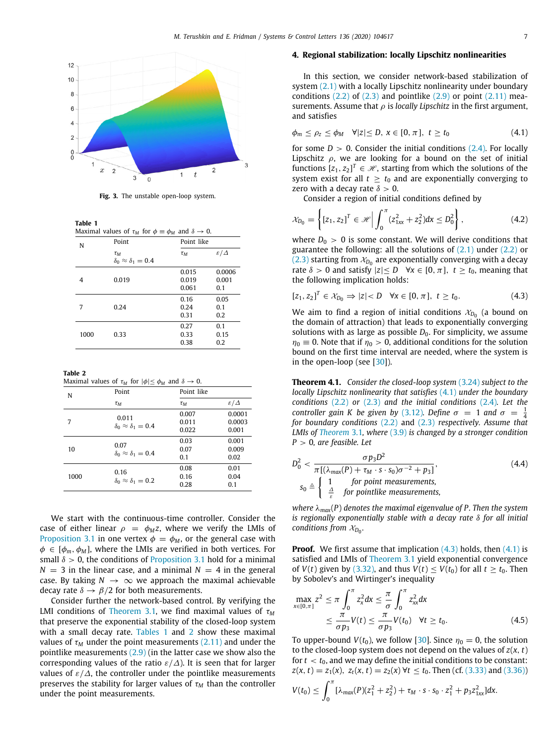

**Fig. 3.** The unstable open-loop system.

<span id="page-6-3"></span><span id="page-6-2"></span>**Table 1** Maximal values of  $\tau_M$  for  $\phi \equiv \phi_M$  and  $\delta \to 0$ .

| N    | Point<br>Point like                           |                         |                        |
|------|-----------------------------------------------|-------------------------|------------------------|
|      | $\tau_M$<br>$\delta_0 \approx \delta_1 = 0.4$ | $\tau_M$                | $\varepsilon/\Delta$   |
| 4    | 0.019                                         | 0.015<br>0.019<br>0.061 | 0.0006<br>0.001<br>0.1 |
| 7    | 0.24                                          | 0.16<br>0.24<br>0.31    | 0.05<br>0.1<br>0.2     |
| 1000 | 0.33                                          | 0.27<br>0.33<br>0.38    | 0.1<br>0.15<br>0.2     |

<span id="page-6-4"></span>**Table 2**

Maximal values of  $\tau_M$  for  $|\phi| \le \phi_M$  and  $\delta \to 0$ .

| N    | Point                                      | Point like              |                           |
|------|--------------------------------------------|-------------------------|---------------------------|
|      | $\tau_M$                                   | $\tau_M$                | $\epsilon/\Delta$         |
| 7    | 0.011<br>$\delta_0 \approx \delta_1 = 0.4$ | 0.007<br>0.011<br>0.022 | 0.0001<br>0.0003<br>0.001 |
| 10   | 0.07<br>$\delta_0 \approx \delta_1 = 0.4$  | 0.03<br>0.07<br>0.1     | 0.001<br>0.009<br>0.02    |
| 1000 | 0.16<br>$\delta_0 \approx \delta_1 = 0.2$  | 0.08<br>0.16<br>0.28    | 0.01<br>0.04<br>0.1       |

We start with the continuous-time controller. Consider the case of either linear  $\rho = \phi_M z$ , where we verify the LMIs of [Proposition](#page-3-10) [3.1](#page-3-10) in one vertex  $\phi = \phi_M$ , or the general case with  $\phi \in [\phi_m, \phi_M]$ , where the LMIs are verified in both vertices. For small  $\delta > 0$ , the conditions of [Proposition](#page-3-10) [3.1](#page-3-10) hold for a minimal  $N = 3$  in the linear case, and a minimal  $N = 4$  in the general case. By taking  $N \to \infty$  we approach the maximal achievable decay rate  $\delta \rightarrow \beta/2$  for both measurements.

Consider further the network-based control. By verifying the LMI conditions of [Theorem](#page-4-8) [3.1,](#page-4-8) we find maximal values of  $\tau_M$ that preserve the exponential stability of the closed-loop system with a small decay rate. [Tables](#page-6-3) [1](#page-6-3) and [2](#page-6-4) show these maximal values of  $\tau_M$  under the point measurements [\(2.11\)](#page-1-6) and under the pointlike measurements ([2.9\)](#page-1-5) (in the latter case we show also the corresponding values of the ratio  $\varepsilon/\Delta$ ). It is seen that for larger values of  $\varepsilon/\Delta$ , the controller under the pointlike measurements preserves the stability for larger values of τ*<sup>M</sup>* than the controller under the point measurements.

#### **4. Regional stabilization: locally Lipschitz nonlinearities**

<span id="page-6-0"></span>In this section, we consider network-based stabilization of system [\(2.1\)](#page-1-4) with a locally Lipschitz nonlinearity under boundary conditions  $(2.2)$  $(2.2)$  $(2.2)$  of  $(2.3)$  and pointlike  $(2.9)$  $(2.9)$  $(2.9)$  or point  $(2.11)$  measurements. Assume that  $\rho$  is *locally Lipschitz* in the first argument, and satisfies

$$
\phi_m \le \rho_z \le \phi_M \quad \forall |z| \le D, \ x \in [0, \pi], \ t \ge t_0 \tag{4.1}
$$

for some  $D > 0$ . Consider the initial conditions  $(2.4)$  $(2.4)$  $(2.4)$ . For locally Lipschitz  $\rho$ , we are looking for a bound on the set of initial functions  $[z_1, z_2]^T \in \mathcal{H}$ , starting from which the solutions of the system exist for all  $t \geq t_0$  and are exponentially converging to zero with a decay rate  $\delta > 0$ .

<span id="page-6-5"></span>Consider a region of initial conditions defined by

$$
\mathcal{X}_{D_0} = \left\{ [z_1, z_2]^T \in \mathcal{H} \middle| \int_0^{\pi} (z_{1xx}^2 + z_2^2) dx \le D_0^2 \right\},\tag{4.2}
$$

where  $D_0 > 0$  is some constant. We will derive conditions that guarantee the following: all the solutions of  $(2.1)$  under  $(2.2)$  $(2.2)$  $(2.2)$  or  $(2.3)$  $(2.3)$  $(2.3)$  starting from  $\mathcal{X}_{D_0}$  are exponentially converging with a decay rate  $\delta > 0$  and satisfy  $|z| \le D$   $\forall x \in [0, \pi]$ ,  $t \ge t_0$ , meaning that the following implication holds:

$$
[z_1, z_2]^T \in \mathcal{X}_{D_0} \Rightarrow |z| < D \quad \forall x \in [0, \pi], \ t \ge t_0. \tag{4.3}
$$

<span id="page-6-6"></span>We aim to find a region of initial conditions  $\mathcal{X}_{D_0}$  (a bound on the domain of attraction) that leads to exponentially converging solutions with as large as possible  $D_0$ . For simplicity, we assume  $\eta_0 = 0$ . Note that if  $\eta_0 > 0$ , additional conditions for the solution bound on the first time interval are needed, where the system is in the open-loop (see  $[30]$ ).

<span id="page-6-1"></span>**Theorem 4.1.** *Consider the closed-loop system* ([3.24](#page-4-0)) *subject to the locally Lipschitz nonlinearity that satisfies* ([4.1](#page-6-5)) *under the boundary conditions* ([2.2](#page-1-1)) *or* ([2.3](#page-1-2)) *and the initial conditions* ([2.4](#page-1-7))*. Let the controller gain K be given by* [\(3.12\)](#page-3-6)*. Define*  $\sigma = 1$  *and*  $\sigma = \frac{1}{4}$ *for boundary conditions* [\(2.2\)](#page-1-1) and ([2.3](#page-1-2)) *respectively. Assume that LMIs of [Theorem](#page-4-8)* [3.1](#page-4-8)*, where* ([3.9](#page-3-0)) *is changed by a stronger condition P* > 0*, are feasible. Let*

<span id="page-6-7"></span>
$$
D_0^2 < \frac{\sigma p_3 D^2}{\pi \left[ (\lambda_{\text{max}}(P) + \tau_M \cdot s \cdot s_0) \sigma^{-2} + p_3 \right]},
$$
\n
$$
s_0 \triangleq \begin{cases} 1 & \text{for point measurements,} \\ \frac{\Delta}{\varepsilon} & \text{for pointlike measurements,} \end{cases} \tag{4.4}
$$

*where* λ*max*(*P*) *denotes the maximal eigenvalue of P. Then the system is regionally exponentially stable with a decay rate* δ *for all initial conditions from*  $X_{D_0}$ *.* 

**Proof.** We first assume that implication [\(4.3\)](#page-6-6) holds, then [\(4.1\)](#page-6-5) is satisfied and LMIs of [Theorem](#page-4-8) [3.1](#page-4-8) yield exponential convergence of *V*(*t*) given by [\(3.32\)](#page-4-5), and thus *V*(*t*)  $\leq$  *V*(*t*<sub>0</sub>) for all *t*  $\geq$  *t*<sub>0</sub>. Then by Sobolev's and Wirtinger's inequality

<span id="page-6-8"></span>
$$
\max_{x \in [0,\pi]} z^2 \le \pi \int_0^{\pi} z_x^2 dx \le \frac{\pi}{\sigma} \int_0^{\pi} z_{xx}^2 dx
$$
  
 
$$
\le \frac{\pi}{\sigma p_3} V(t) \le \frac{\pi}{\sigma p_3} V(t_0) \quad \forall t \ge t_0.
$$
 (4.5)

To upper-bound  $V(t_0)$ , we follow [\[30\]](#page-8-29). Since  $\eta_0 = 0$ , the solution to the closed-loop system does not depend on the values of *z*(*x*, *t*) for  $t < t_0$ , and we may define the initial conditions to be constant:  $z(x, t) = z_1(x), z_t(x, t) = z_2(x) \forall t \le t_0$ . Then (cf. [\(3.33](#page-4-9)) and [\(3.36](#page-5-0)))  $V(t_0) \leq \int_0^{\pi}$  $\int_{0}^{1} [\lambda_{max}(P)(z_1^2 + z_2^2) + \tau_M \cdot s \cdot s_0 \cdot z_1^2 + p_3 z_{1xx}^2]dx.$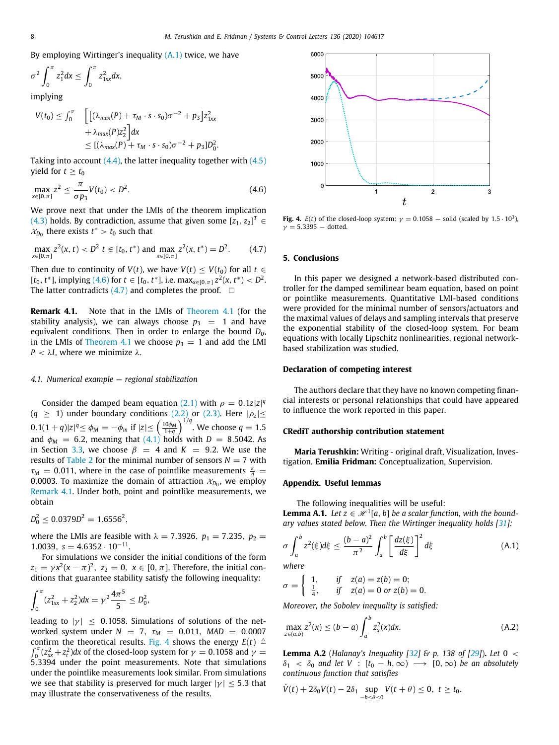By employing Wirtinger's inequality  $(A,1)$  twice, we have

$$
\sigma^2 \int_0^{\pi} z_1^2 dx \leq \int_0^{\pi} z_{1xx}^2 dx,
$$

implying

$$
V(t_0) \leq \int_0^{\pi} \quad \left[ \left[ (\lambda_{max}(P) + \tau_M \cdot s \cdot s_0) \sigma^{-2} + p_3 \right] z_{1xx}^2 + \lambda_{max}(P) z_2^2 \right] dx
$$
  

$$
\leq [(\lambda_{max}(P) + \tau_M \cdot s \cdot s_0) \sigma^{-2} + p_3] D_0^2.
$$

Taking into account  $(4.4)$  $(4.4)$  $(4.4)$ , the latter inequality together with  $(4.5)$ yield for  $t > t_0$ 

$$
\max_{x \in [0,\pi]} z^2 \le \frac{\pi}{\sigma p_3} V(t_0) < D^2. \tag{4.6}
$$

We prove next that under the LMIs of the theorem implication  $(4.3)$  $(4.3)$  $(4.3)$  holds. By contradiction, assume that given some  $[z_1, z_2]^T \in$  $x_{D_0}$  there exists  $t^* > t_0$  such that

$$
\max_{x \in [0,\pi]} z^2(x,t) < D^2 \ t \in [t_0, t^*) \text{ and } \max_{x \in [0,\pi]} z^2(x,t^*) = D^2. \tag{4.7}
$$

Then due to continuity of *V*(*t*), we have *V*(*t*)  $\leq$  *V*(*t*<sub>0</sub>) for all *t*  $\in$  $[t_0, t^*]$ , implying ([4.6](#page-7-1)) for  $t \in [t_0, t^*]$ , i.e.  $\max_{x \in [0, \pi]} z^2(x, t^*) < D^2$ . The latter contradicts  $(4.7)$  and completes the proof.  $\Box$ 

<span id="page-7-3"></span>**Remark 4.1.** Note that in the LMIs of [Theorem](#page-6-1) [4.1](#page-6-1) (for the stability analysis), we can always choose  $p_3 = 1$  and have equivalent conditions. Then in order to enlarge the bound  $D_0$ , in the LMIs of [Theorem](#page-6-1) [4.1](#page-6-1) we choose  $p_3 = 1$  and add the LMI *P* <  $λ$ *I*, where we minimize  $λ$ *.* 

#### *4.1. Numerical example — regional stabilization*

Consider the damped beam equation [\(2.1](#page-1-4)) with  $\rho = 0.1z|z|^q$  $(q \geq 1)$  under boundary conditions ([2.2](#page-1-1)) or ([2.3](#page-1-2)). Here  $|\rho_z| \leq$  $(0.1(1+q)|z|^q \le \phi_M = -\phi_m$  if  $|z| \le (\frac{10\phi_M}{1+q})^{1/q}$ . We choose  $q = 1.5$ and  $\phi_M = 6.2$ , meaning that  $(4.1)$  $(4.1)$  $(4.1)$  holds with  $D = 8.5042$ . As in Section [3.3](#page-5-1), we choose  $\beta = 4$  and  $K = 9.2$ . We use the results of [Table](#page-6-4) [2](#page-6-4) for the minimal number of sensors  $N = 7$  with  $\tau_M = 0.011$ , where in the case of pointlike measurements  $\frac{\varepsilon}{\Delta} =$ 0.0003. To maximize the domain of attraction  $\mathcal{X}_{D_0},$  we employ [Remark](#page-7-3) [4.1.](#page-7-3) Under both, point and pointlike measurements, we obtain

$$
D_0^2 \le 0.0379D^2 = 1.6556^2,
$$

where the LMIs are feasible with  $\lambda = 7.3926$ ,  $p_1 = 7.235$ ,  $p_2 =$ 1.0039,  $s = 4.6352 \cdot 10^{-11}$ .

For simulations we consider the initial conditions of the form  $z_1 = \gamma x^2 (x - \pi)^2$ ,  $z_2 = 0$ ,  $x \in [0, \pi]$ . Therefore, the initial conditions that guarantee stability satisfy the following inequality:

$$
\int_0^{\pi} (z_{1xx}^2 + z_2^2) dx = \gamma^2 \frac{4\pi^5}{5} \le D_0^2,
$$

leading to  $|\gamma| \leq 0.1058$ . Simulations of solutions of the networked system under  $N = 7$ ,  $\tau_M = 0.011$ ,  $MAD = 0.0007$ confirm the theoretical results. [Fig.](#page-7-4) [4](#page-7-4) shows the energy  $E(t) \triangleq$  $\int_0^{\pi} (z_{xx}^2 + z_t^2) dx$  of the closed-loop system for  $\gamma = 0.1058$  and  $\gamma =$ 5.3394 under the point measurements. Note that simulations under the pointlike measurements look similar. From simulations we see that stability is preserved for much larger  $|\gamma| \leq 5.3$  that may illustrate the conservativeness of the results.



<span id="page-7-4"></span><span id="page-7-1"></span>**Fig. 4.**  $E(t)$  of the closed-loop system:  $\gamma = 0.1058$  – solid (scaled by 1.5 · 10<sup>3</sup>),  $ν = 5.3395 - dotted.$ 

#### <span id="page-7-2"></span>**5. Conclusions**

In this paper we designed a network-based distributed controller for the damped semilinear beam equation, based on point or pointlike measurements. Quantitative LMI-based conditions were provided for the minimal number of sensors/actuators and the maximal values of delays and sampling intervals that preserve the exponential stability of the closed-loop system. For beam equations with locally Lipschitz nonlinearities, regional networkbased stabilization was studied.

#### **Declaration of competing interest**

The authors declare that they have no known competing financial interests or personal relationships that could have appeared to influence the work reported in this paper.

#### **CRediT authorship contribution statement**

**Maria Terushkin:** Writing - original draft, Visualization, Investigation. **Emilia Fridman:** Conceptualization, Supervision.

#### **Appendix. Useful lemmas**

The following inequalities will be useful: **Lemma A.1.** *Let*  $z \in \mathcal{H}^1[a, b]$  *be a scalar function, with the bound-ary values stated below. Then the Wirtinger inequality holds [\[31\]](#page-8-30):* 

<span id="page-7-0"></span>
$$
\sigma \int_a^b z^2(\xi) d\xi \le \frac{(b-a)^2}{\pi^2} \int_a^b \left[ \frac{dz(\xi)}{d\xi} \right]^2 d\xi \tag{A.1}
$$

*where*

$$
\sigma = \begin{cases} 1, & \text{if } z(a) = z(b) = 0; \\ \frac{1}{4}, & \text{if } z(a) = 0 \text{ or } z(b) = 0. \end{cases}
$$

*Moreover, the Sobolev inequality is satisfied:*

$$
\max_{z \in (a,b)} z^2(x) \le (b-a) \int_a^b z_x^2(x) dx.
$$
 (A.2)

**Lemma A.2** (*Halanay's Inequality [\[32](#page-8-31)] & p. 138 of [[29\]](#page-8-27)*)**.** *Let* 0 <  $\delta_1 < \delta_0$  and let V :  $[t_0 - h, \infty) \longrightarrow [0, \infty)$  be an absolutely *continuous function that satisfies*

$$
\dot{V}(t)+2\delta_0V(t)-2\delta_1\sup_{-h\leq\theta\leq 0}V(t+\theta)\leq 0,\ t\geq t_0.
$$